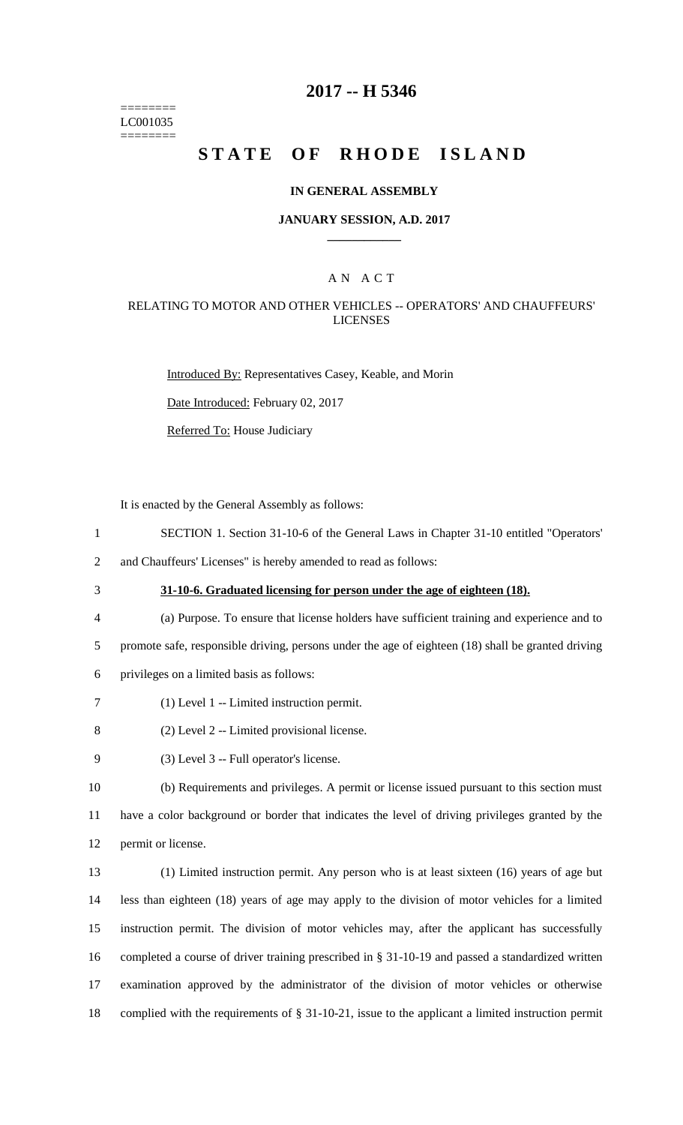======== LC001035 ========

## **2017 -- H 5346**

# **STATE OF RHODE ISLAND**

#### **IN GENERAL ASSEMBLY**

#### **JANUARY SESSION, A.D. 2017 \_\_\_\_\_\_\_\_\_\_\_\_**

## A N A C T

### RELATING TO MOTOR AND OTHER VEHICLES -- OPERATORS' AND CHAUFFEURS' LICENSES

Introduced By: Representatives Casey, Keable, and Morin

Date Introduced: February 02, 2017

Referred To: House Judiciary

It is enacted by the General Assembly as follows:

1 SECTION 1. Section 31-10-6 of the General Laws in Chapter 31-10 entitled "Operators'

2 and Chauffeurs' Licenses" is hereby amended to read as follows:

# 3 **31-10-6. Graduated licensing for person under the age of eighteen (18).**

- 4 (a) Purpose. To ensure that license holders have sufficient training and experience and to 5 promote safe, responsible driving, persons under the age of eighteen (18) shall be granted driving
- 6 privileges on a limited basis as follows:
- 7 (1) Level 1 -- Limited instruction permit.
- 8 (2) Level 2 -- Limited provisional license.
- 9 (3) Level 3 -- Full operator's license.

10 (b) Requirements and privileges. A permit or license issued pursuant to this section must 11 have a color background or border that indicates the level of driving privileges granted by the 12 permit or license.

 (1) Limited instruction permit. Any person who is at least sixteen (16) years of age but less than eighteen (18) years of age may apply to the division of motor vehicles for a limited instruction permit. The division of motor vehicles may, after the applicant has successfully completed a course of driver training prescribed in § 31-10-19 and passed a standardized written examination approved by the administrator of the division of motor vehicles or otherwise complied with the requirements of § 31-10-21, issue to the applicant a limited instruction permit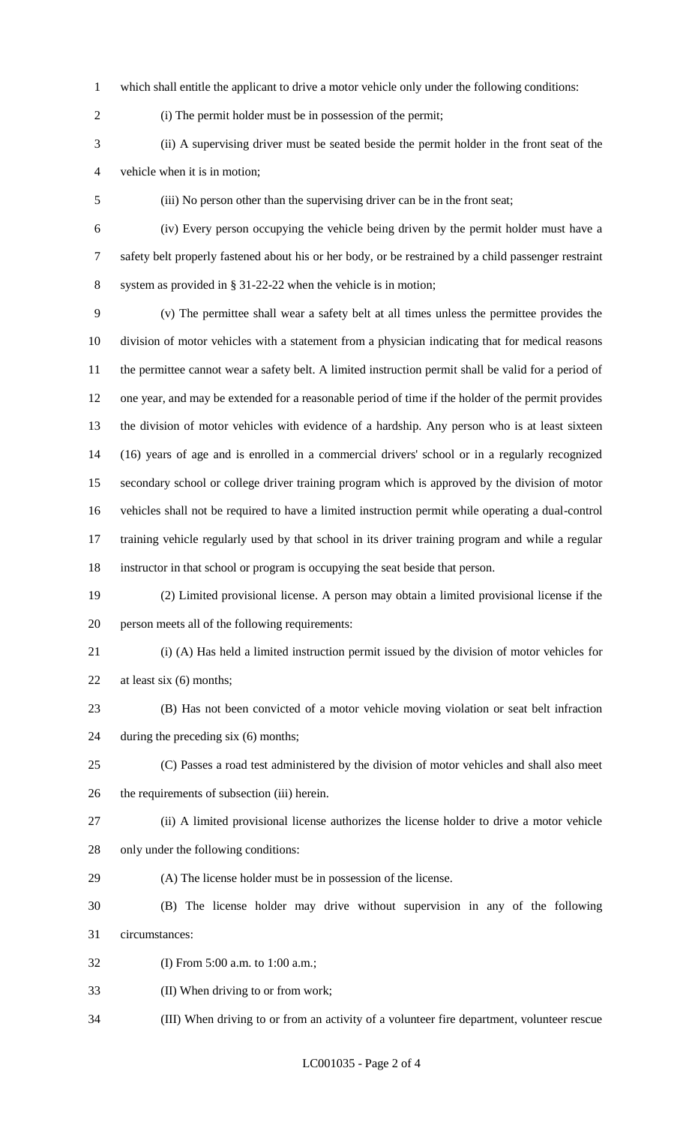which shall entitle the applicant to drive a motor vehicle only under the following conditions:

(i) The permit holder must be in possession of the permit;

 (ii) A supervising driver must be seated beside the permit holder in the front seat of the vehicle when it is in motion;

(iii) No person other than the supervising driver can be in the front seat;

 (iv) Every person occupying the vehicle being driven by the permit holder must have a safety belt properly fastened about his or her body, or be restrained by a child passenger restraint system as provided in § 31-22-22 when the vehicle is in motion;

 (v) The permittee shall wear a safety belt at all times unless the permittee provides the division of motor vehicles with a statement from a physician indicating that for medical reasons the permittee cannot wear a safety belt. A limited instruction permit shall be valid for a period of one year, and may be extended for a reasonable period of time if the holder of the permit provides the division of motor vehicles with evidence of a hardship. Any person who is at least sixteen (16) years of age and is enrolled in a commercial drivers' school or in a regularly recognized secondary school or college driver training program which is approved by the division of motor vehicles shall not be required to have a limited instruction permit while operating a dual-control training vehicle regularly used by that school in its driver training program and while a regular

- instructor in that school or program is occupying the seat beside that person.
- (2) Limited provisional license. A person may obtain a limited provisional license if the person meets all of the following requirements:
- 

(i) (A) Has held a limited instruction permit issued by the division of motor vehicles for

- 22 at least six (6) months;
- (B) Has not been convicted of a motor vehicle moving violation or seat belt infraction during the preceding six (6) months;
- (C) Passes a road test administered by the division of motor vehicles and shall also meet the requirements of subsection (iii) herein.
- 
- (ii) A limited provisional license authorizes the license holder to drive a motor vehicle
- only under the following conditions:
- (A) The license holder must be in possession of the license.
- (B) The license holder may drive without supervision in any of the following circumstances:
- (I) From 5:00 a.m. to 1:00 a.m.;
- (II) When driving to or from work;
- (III) When driving to or from an activity of a volunteer fire department, volunteer rescue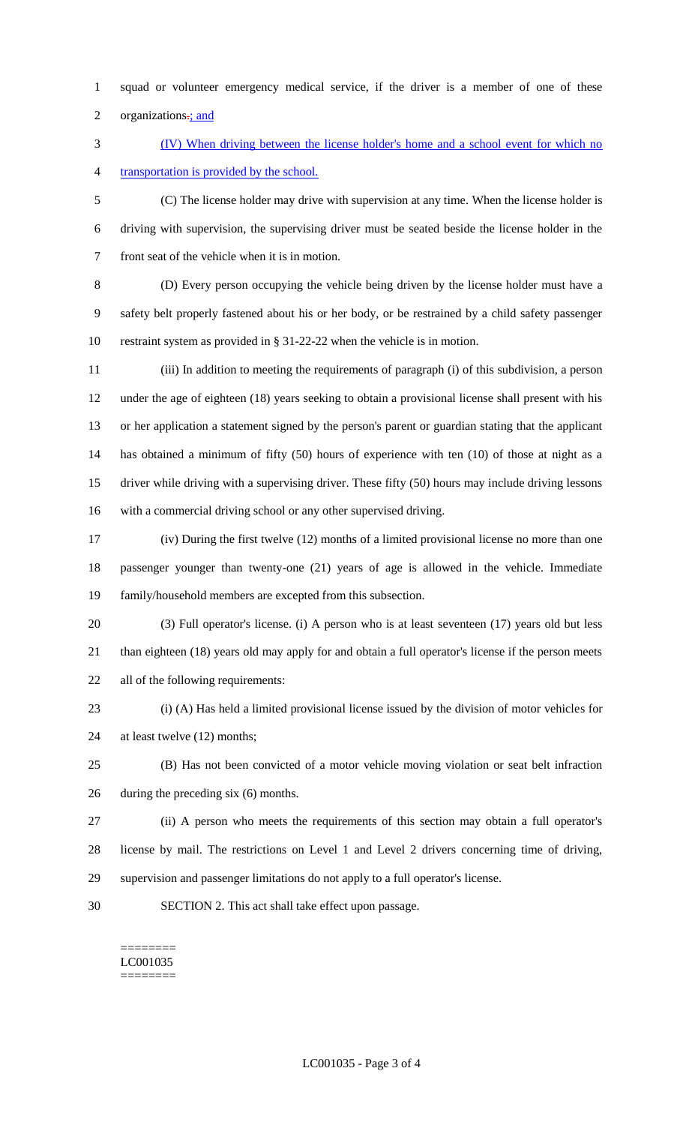- squad or volunteer emergency medical service, if the driver is a member of one of these
- 2 organizations $\frac{1}{2}$  and

 (IV) When driving between the license holder's home and a school event for which no transportation is provided by the school.

 (C) The license holder may drive with supervision at any time. When the license holder is driving with supervision, the supervising driver must be seated beside the license holder in the front seat of the vehicle when it is in motion.

 (D) Every person occupying the vehicle being driven by the license holder must have a safety belt properly fastened about his or her body, or be restrained by a child safety passenger restraint system as provided in § 31-22-22 when the vehicle is in motion.

 (iii) In addition to meeting the requirements of paragraph (i) of this subdivision, a person under the age of eighteen (18) years seeking to obtain a provisional license shall present with his or her application a statement signed by the person's parent or guardian stating that the applicant has obtained a minimum of fifty (50) hours of experience with ten (10) of those at night as a driver while driving with a supervising driver. These fifty (50) hours may include driving lessons with a commercial driving school or any other supervised driving.

- (iv) During the first twelve (12) months of a limited provisional license no more than one passenger younger than twenty-one (21) years of age is allowed in the vehicle. Immediate family/household members are excepted from this subsection.
- (3) Full operator's license. (i) A person who is at least seventeen (17) years old but less than eighteen (18) years old may apply for and obtain a full operator's license if the person meets all of the following requirements:
- 

 (i) (A) Has held a limited provisional license issued by the division of motor vehicles for at least twelve (12) months;

 (B) Has not been convicted of a motor vehicle moving violation or seat belt infraction during the preceding six (6) months.

- (ii) A person who meets the requirements of this section may obtain a full operator's license by mail. The restrictions on Level 1 and Level 2 drivers concerning time of driving, supervision and passenger limitations do not apply to a full operator's license.
- SECTION 2. This act shall take effect upon passage.

#### ======== LC001035 ========